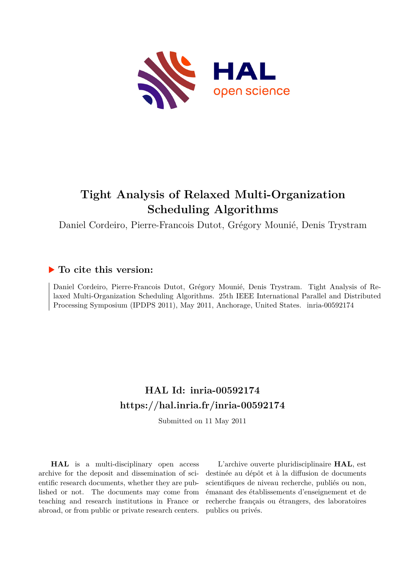

# **Tight Analysis of Relaxed Multi-Organization Scheduling Algorithms**

Daniel Cordeiro, Pierre-Francois Dutot, Grégory Mounié, Denis Trystram

# **To cite this version:**

Daniel Cordeiro, Pierre-Francois Dutot, Grégory Mounié, Denis Trystram. Tight Analysis of Relaxed Multi-Organization Scheduling Algorithms. 25th IEEE International Parallel and Distributed Processing Symposium (IPDPS 2011), May 2011, Anchorage, United States. inria-00592174

# **HAL Id: inria-00592174 <https://hal.inria.fr/inria-00592174>**

Submitted on 11 May 2011

**HAL** is a multi-disciplinary open access archive for the deposit and dissemination of scientific research documents, whether they are published or not. The documents may come from teaching and research institutions in France or abroad, or from public or private research centers.

L'archive ouverte pluridisciplinaire **HAL**, est destinée au dépôt et à la diffusion de documents scientifiques de niveau recherche, publiés ou non, émanant des établissements d'enseignement et de recherche français ou étrangers, des laboratoires publics ou privés.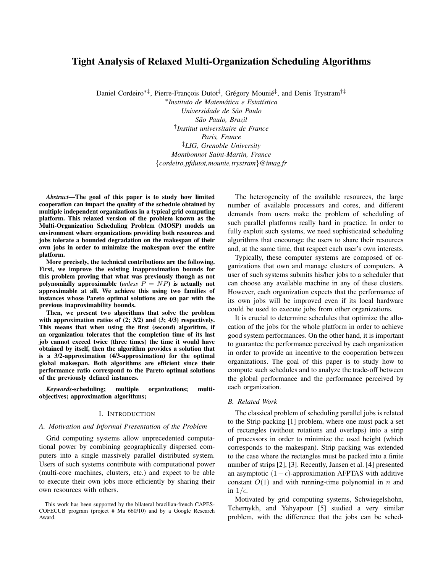# Tight Analysis of Relaxed Multi-Organization Scheduling Algorithms

Daniel Cordeiro\*<sup>‡</sup>, Pierre-François Dutot<sup>‡</sup>, Grégory Mounié<sup>‡</sup>, and Denis Trystram<sup>†‡</sup>

∗ *Instituto de Matematica e Estat ´ ´ıstica Universidade de Sao Paulo ˜ Sao Paulo, Brazil ˜* † *Institut universitaire de France Paris, France* ‡*LIG, Grenoble University Montbonnot Saint-Martin, France* {*cordeiro,pfdutot,mounie,trystram*}*@imag.fr*

*Abstract*—The goal of this paper is to study how limited cooperation can impact the quality of the schedule obtained by multiple independent organizations in a typical grid computing platform. This relaxed version of the problem known as the Multi-Organization Scheduling Problem (MOSP) models an environment where organizations providing both resources and jobs tolerate a bounded degradation on the makespan of their own jobs in order to minimize the makespan over the entire platform.

More precisely, the technical contributions are the following. First, we improve the existing inapproximation bounds for this problem proving that what was previously though as not polynomially approximable (*unless* P = NP) is actually not approximable at all. We achieve this using two families of instances whose Pareto optimal solutions are on par with the previous inaproximability bounds.

Then, we present two algorithms that solve the problem with approximation ratios of (2; 3/2) and (3; 4/3) respectively. This means that when using the first (second) algorithm, if an organization tolerates that the completion time of its last job cannot exceed twice (three times) the time it would have obtained by itself, then the algorithm provides a solution that is a 3/2-approximation (4/3-approximation) for the optimal global makespan. Both algorithms are efficient since their performance ratio correspond to the Pareto optimal solutions of the previously defined instances.

*Keywords*-scheduling; multiple organizations; multiobjectives; approximation algorithms;

## I. INTRODUCTION

#### *A. Motivation and Informal Presentation of the Problem*

Grid computing systems allow unprecedented computational power by combining geographically dispersed computers into a single massively parallel distributed system. Users of such systems contribute with computational power (multi-core machines, clusters, etc.) and expect to be able to execute their own jobs more efficiently by sharing their own resources with others.

The heterogeneity of the available resources, the large number of available processors and cores, and different demands from users make the problem of scheduling of such parallel platforms really hard in practice. In order to fully exploit such systems, we need sophisticated scheduling algorithms that encourage the users to share their resources and, at the same time, that respect each user's own interests.

Typically, these computer systems are composed of organizations that own and manage clusters of computers. A user of such systems submits his/her jobs to a scheduler that can choose any available machine in any of these clusters. However, each organization expects that the performance of its own jobs will be improved even if its local hardware could be used to execute jobs from other organizations.

It is crucial to determine schedules that optimize the allocation of the jobs for the whole platform in order to achieve good system performances. On the other hand, it is important to guarantee the performance perceived by each organization in order to provide an incentive to the cooperation between organizations. The goal of this paper is to study how to compute such schedules and to analyze the trade-off between the global performance and the performance perceived by each organization.

#### *B. Related Work*

The classical problem of scheduling parallel jobs is related to the Strip packing [1] problem, where one must pack a set of rectangles (without rotations and overlaps) into a strip of processors in order to minimize the used height (which corresponds to the makespan). Strip packing was extended to the case where the rectangles must be packed into a finite number of strips [2], [3]. Recently, Jansen et al. [4] presented an asymptotic  $(1 + \epsilon)$ -approximation AFPTAS with additive constant  $O(1)$  and with running-time polynomial in n and in  $1/\epsilon$ .

Motivated by grid computing systems, Schwiegelshohn, Tchernykh, and Yahyapour [5] studied a very similar problem, with the difference that the jobs can be sched-

This work has been supported by the bilateral brazilian-french CAPES-COFECUB program (project # Ma 660/10) and by a Google Research Award.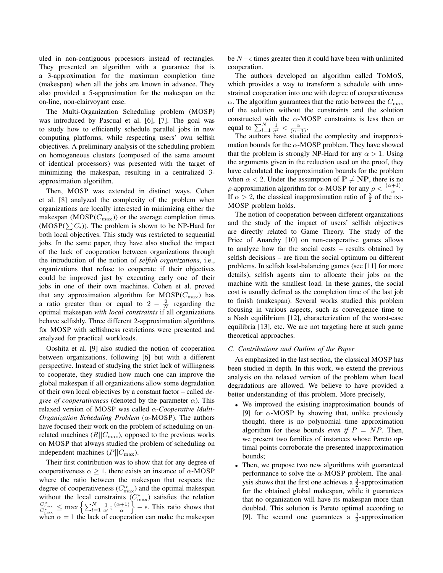uled in non-contiguous processors instead of rectangles. They presented an algorithm with a guarantee that is a 3-approximation for the maximum completion time (makespan) when all the jobs are known in advance. They also provided a 5-approximation for the makespan on the on-line, non-clairvoyant case.

The Multi-Organization Scheduling problem (MOSP) was introduced by Pascual et al. [6], [7]. The goal was to study how to efficiently schedule parallel jobs in new computing platforms, while respecting users' own selfish objectives. A preliminary analysis of the scheduling problem on homogeneous clusters (composed of the same amount of identical processors) was presented with the target of minimizing the makespan, resulting in a centralized 3 approximation algorithm.

Then, MOSP was extended in distinct ways. Cohen et al. [8] analyzed the complexity of the problem when organizations are locally interested in minimizing either the makespan  $(MOSP(C_{\text{max}}))$  or the average completion times  $(MOSP(\sum C_i))$ . The problem is shown to be NP-Hard for both local objectives. This study was restricted to sequential jobs. In the same paper, they have also studied the impact of the lack of cooperation between organizations through the introduction of the notion of *selfish organizations*, i.e., organizations that refuse to cooperate if their objectives could be improved just by executing early one of their jobs in one of their own machines. Cohen et al. proved that any approximation algorithm for  $MOSP(C_{\text{max}})$  has a ratio greater than or equal to  $2 - \frac{2}{N}$  regarding the optimal makespan *with local constraints* if all organizations behave selfishly. Three different 2-approximation algorithms for MOSP with selfishness restrictions were presented and analyzed for practical workloads.

Ooshita et al. [9] also studied the notion of cooperation between organizations, following [6] but with a different perspective. Instead of studying the strict lack of willingness to cooperate, they studied how much one can improve the global makespan if all organizations allow some degradation of their own local objectives by a constant factor – called *degree of cooperativeness* (denoted by the parameter  $\alpha$ ). This relaxed version of MOSP was called α-*Cooperative Multi-Organization Scheduling Problem* (α-MOSP). The authors have focused their work on the problem of scheduling on unrelated machines  $(R||C_{\text{max}})$ , opposed to the previous works on MOSP that always studied the problem of scheduling on independent machines  $(P||C_{\text{max}})$ .

Their first contribution was to show that for any degree of cooperativeness  $\alpha \geq 1$ , there exists an instance of  $\alpha$ -MOSP where the ratio between the makespan that respects the degree of cooperativeness ( $C_{\text{max}}^{\alpha}$ ) and the optimal makespan without the local constraints  $(C_{\text{max}}^*)$  satisfies the relation  $\frac{C_{\text{max}}^{\alpha}}{C_{\text{max}}^*} \leq \max \left\{ \sum_{l=1}^{N} \frac{1}{\alpha^l}; \frac{(\alpha+1)}{\alpha} \right\} - \epsilon$ . This ratio shows that  $\left\{\frac{+1}{\alpha}\right\}$  –  $\epsilon$ . This ratio shows that when  $\alpha = 1$  the lack of cooperation can make the makespan be  $N - \epsilon$  times greater then it could have been with unlimited cooperation.

The authors developed an algorithm called TOMOS, which provides a way to transform a schedule with unrestrained cooperation into one with degree of cooperativeness  $\alpha$ . The algorithm guarantees that the ratio between the  $C_{\text{max}}$ of the solution without the constraints and the solution constructed with the  $\alpha$ -MOSP constraints is less then or equal to  $\sum_{l=1}^{N} \frac{1}{\alpha^{l}} < \frac{\alpha}{(\alpha-1)}$ .

The authors have studied the complexity and inapproximation bounds for the  $\alpha$ -MOSP problem. They have showed that the problem is strongly NP-Hard for any  $\alpha > 1$ . Using the arguments given in the reduction used on the proof, they have calculated the inapproximation bounds for the problem when  $\alpha < 2$ . Under the assumption of  $P \neq NP$ , there is no ρ-approximation algorithm for  $\alpha$ -MOSP for any  $\rho < \frac{(\alpha+1)}{\alpha}$ . If  $\alpha > 2$ , the classical inapproximation ratio of  $\frac{3}{2}$  of the  $\infty$ -MOSP problem holds.

The notion of cooperation between different organizations and the study of the impact of users' selfish objectives are directly related to Game Theory. The study of the Price of Anarchy [10] on non-cooperative games allows to analyze how far the social costs – results obtained by selfish decisions – are from the social optimum on different problems. In selfish load-balancing games (see [11] for more details), selfish agents aim to allocate their jobs on the machine with the smallest load. In these games, the social cost is usually defined as the completion time of the last job to finish (makespan). Several works studied this problem focusing in various aspects, such as convergence time to a Nash equilibrium [12], characterization of the worst-case equilibria [13], etc. We are not targeting here at such game theoretical approaches.

#### *C. Contributions and Outline of the Paper*

As emphasized in the last section, the classical MOSP has been studied in depth. In this work, we extend the previous analysis on the relaxed version of the problem when local degradations are allowed. We believe to have provided a better understanding of this problem. More precisely,

- We improved the existing inapproximation bounds of [9] for  $\alpha$ -MOSP by showing that, unlike previously thought, there is no polynomial time approximation algorithm for these bounds *even if*  $P = NP$ . Then, we present two families of instances whose Pareto optimal points corroborate the presented inapproximation bounds;
- Then, we propose two new algorithms with guaranteed performance to solve the  $\alpha$ -MOSP problem. The analysis shows that the first one achieves a  $\frac{3}{2}$ -approximation for the obtained global makespan, while it guarantees that no organization will have its makespan more than doubled. This solution is Pareto optimal according to [9]. The second one guarantees a  $\frac{4}{3}$ -approximation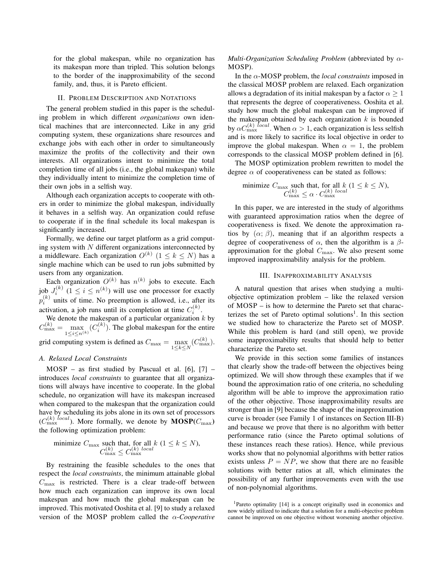for the global makespan, while no organization has its makespan more than tripled. This solution belongs to the border of the inapproximability of the second family, and, thus, it is Pareto efficient.

## II. PROBLEM DESCRIPTION AND NOTATIONS

The general problem studied in this paper is the scheduling problem in which different *organizations* own identical machines that are interconnected. Like in any grid computing system, these organizations share resources and exchange jobs with each other in order to simultaneously maximize the profits of the collectivity and their own interests. All organizations intent to minimize the total completion time of all jobs (i.e., the global makespan) while they individually intent to minimize the completion time of their own jobs in a selfish way.

Although each organization accepts to cooperate with others in order to minimize the global makespan, individually it behaves in a selfish way. An organization could refuse to cooperate if in the final schedule its local makespan is significantly increased.

Formally, we define our target platform as a grid computing system with  $N$  different organizations interconnected by a middleware. Each organization  $O^{(k)}$   $(1 \leq k \leq N)$  has a single machine which can be used to run jobs submitted by users from any organization.

Each organization  $O^{(k)}$  has  $n^{(k)}$  jobs to execute. Each job  $J_i^{(k)}$   $(1 \le i \le n^{(k)})$  will use one processor for exactly  $p_i^{(k)}$  units of time. No preemption is allowed, i.e., after its activation, a job runs until its completion at time  $C_i^{(k)}$ .

We denote the makespan of a particular organization  $k$  by  $C_{\text{max}}^{(k)} = \max_{1 \leq i \leq n^{(k)}} (C_i^{(k)})$ . The global makespan for the entire grid computing system is defined as  $C_{\text{max}} = \max_{1 \le k \le N} (C_{\text{max}}^{(k)}).$ 

# *A. Relaxed Local Constraints*

MOSP – as first studied by Pascual et al. [6], [7] – introduces *local constraints* to guarantee that all organizations will always have incentive to cooperate. In the global schedule, no organization will have its makespan increased when compared to the makespan that the organization could have by scheduling its jobs alone in its own set of processors  $(C_{\text{max}}^{(k)} \text{ }^{local})$ . More formally, we denote by  $\text{MOSP}(C_{\text{max}})$ the following optimization problem:

minimize 
$$
C_{\text{max}}
$$
 such that, for all  $k$  ( $1 \le k \le N$ ),  
 $C_{\text{max}}^{(k)} \le C_{\text{max}}^{(k)} \log l$ 

By restraining the feasible schedules to the ones that respect the *local constraints*, the minimum attainable global  $C_{\text{max}}$  is restricted. There is a clear trade-off between how much each organization can improve its own local makespan and how much the global makespan can be improved. This motivated Ooshita et al. [9] to study a relaxed version of the MOSP problem called the α-*Cooperative* *Multi-Organization Scheduling Problem* (abbreviated by α-MOSP).

In the α-MOSP problem, the *local constraints* imposed in the classical MOSP problem are relaxed. Each organization allows a degradation of its initial makespan by a factor  $\alpha > 1$ that represents the degree of cooperativeness. Ooshita et al. study how much the global makespan can be improved if the makespan obtained by each organization  $k$  is bounded by  $\alpha C_{\max}^{(k)}$  *local*. When  $\alpha > 1$ , each organization is less selfish and is more likely to sacrifice its local objective in order to improve the global makespan. When  $\alpha = 1$ , the problem corresponds to the classical MOSP problem defined in [6].

The MOSP optimization problem rewritten to model the degree  $\alpha$  of cooperativeness can be stated as follows:

minimize 
$$
C_{\text{max}}
$$
 such that, for all  $k$  ( $1 \le k \le N$ ),  
 $C_{\text{max}}^{(k)} \le \alpha \cdot C_{\text{max}}^{(k)} \text{ local}$ 

In this paper, we are interested in the study of algorithms with guaranteed approximation ratios when the degree of cooperativeness is fixed. We denote the approximation ratios by  $(\alpha; \beta)$ , meaning that if an algorithm respects a degree of cooperativeness of  $\alpha$ , then the algorithm is a  $\beta$ approximation for the global  $C_{\text{max}}$ . We also present some improved inapproximability analysis for the problem.

## III. INAPPROXIMABILITY ANALYSIS

A natural question that arises when studying a multiobjective optimization problem – like the relaxed version of MOSP – is how to determine the Pareto set that characterizes the set of Pareto optimal solutions<sup>1</sup>. In this section we studied how to characterize the Pareto set of MOSP. While this problem is hard (and still open), we provide some inapproximability results that should help to better characterize the Pareto set.

We provide in this section some families of instances that clearly show the trade-off between the objectives being optimized. We will show through these examples that if we bound the approximation ratio of one criteria, no scheduling algorithm will be able to improve the approximation ratio of the other objective. Those inapproximability results are stronger than in [9] because the shape of the inapproximation curve is broader (see Family 1 of instances on Section III-B) and because we prove that there is no algorithm with better performance ratio (since the Pareto optimal solutions of these instances reach these ratios). Hence, while previous works show that no polynomial algorithms with better ratios exists unless  $P = NP$ , we show that there are no feasible solutions with better ratios at all, which eliminates the possibility of any further improvements even with the use of non-polynomial algorithms.

<sup>1</sup>Pareto optimality [14] is a concept originally used in economics and now widely utilized to indicate that a solution for a multi-objective problem cannot be improved on one objective without worsening another objective.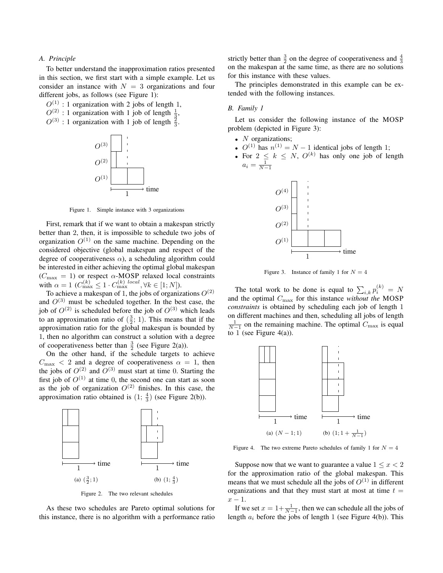# *A. Principle*

To better understand the inapproximation ratios presented in this section, we first start with a simple example. Let us consider an instance with  $N = 3$  organizations and four different jobs, as follows (see Figure 1):

 $O^{(1)}$ : 1 organization with 2 jobs of length 1,

 $O^{(2)}$ : 1 organization with 1 job of length  $\frac{1}{3}$ ,

 $O^{(3)}$ : 1 organization with 1 job of length  $\frac{2}{3}$ .



Figure 1. Simple instance with 3 organizations

First, remark that if we want to obtain a makespan strictly better than 2, then, it is impossible to schedule two jobs of organization  $O^{(1)}$  on the same machine. Depending on the considered objective (global makespan and respect of the degree of cooperativeness  $\alpha$ ), a scheduling algorithm could be interested in either achieving the optimal global makespan  $(C_{\text{max}} = 1)$  or respect  $\alpha$ -MOSP relaxed local constraints with  $\alpha = 1$  ( $C_{\text{max}}^{(k)} \leq 1 \cdot C_{\text{max}}^{(k)}$  local,  $\forall k \in [1; N]$ ).

To achieve a makespan of 1, the jobs of organizations  $O^{(2)}$ and  $O^{(3)}$  must be scheduled together. In the best case, the job of  $O^{(2)}$  is scheduled before the job of  $O^{(3)}$  which leads to an approximation ratio of  $(\frac{3}{2}; 1)$ . This means that if the approximation ratio for the global makespan is bounded by 1, then no algorithm can construct a solution with a degree of cooperativeness better than  $\frac{3}{2}$  (see Figure 2(a)).

On the other hand, if the schedule targets to achieve  $C_{\text{max}} < 2$  and a degree of cooperativeness  $\alpha = 1$ , then the jobs of  $O^{(2)}$  and  $O^{(3)}$  must start at time 0. Starting the first job of  $O^{(1)}$  at time 0, the second one can start as soon as the job of organization  $O^{(2)}$  finishes. In this case, the approximation ratio obtained is  $(1; \frac{4}{3})$  (see Figure 2(b)).



Figure 2. The two relevant schedules

As these two schedules are Pareto optimal solutions for this instance, there is no algorithm with a performance ratio

strictly better than  $\frac{3}{2}$  on the degree of cooperativeness and  $\frac{4}{3}$ on the makespan at the same time, as there are no solutions for this instance with these values.

The principles demonstrated in this example can be extended with the following instances.

#### *B. Family 1*

Let us consider the following instance of the MOSP problem (depicted in Figure 3):

- $N$  organizations;
- $O^{(1)}$  has  $n^{(1)} = N 1$  identical jobs of length 1;
- For  $2 \leq k \leq N$ ,  $O^{(k)}$  has only one job of length  $a_i = \frac{1}{N-1}$



Figure 3. Instance of family 1 for  $N = 4$ 

The total work to be done is equal to  $\sum_{i,k} p_i^{(k)} = N$ and the optimal Cmax for this instance *without the* MOSP *constraints* is obtained by scheduling each job of length 1 on different machines and then, scheduling all jobs of length  $\frac{1}{N-1}$  on the remaining machine. The optimal  $C_{\text{max}}$  is equal to 1 (see Figure 4(a)).



Figure 4. The two extreme Pareto schedules of family 1 for  $N = 4$ 

Suppose now that we want to guarantee a value  $1 \leq x < 2$ for the approximation ratio of the global makespan. This means that we must schedule all the jobs of  $O^{(1)}$  in different organizations and that they must start at most at time  $t =$  $x - 1$ .

If we set  $x = 1 + \frac{1}{N-1}$ , then we can schedule all the jobs of length  $a_i$  before the jobs of length 1 (see Figure 4(b)). This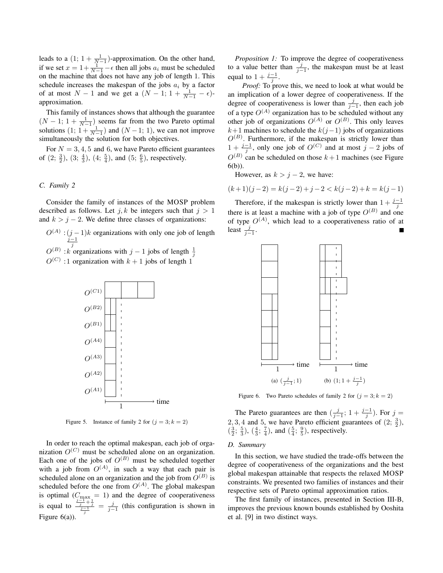leads to a  $(1; 1 + \frac{1}{N-1})$ -approximation. On the other hand, if we set  $x = 1 + \frac{1}{N-1} - \epsilon$  then all jobs  $a_i$  must be scheduled on the machine that does not have any job of length 1. This schedule increases the makespan of the jobs  $a_i$  by a factor of at most  $N-1$  and we get a  $(N-1; 1+\frac{1}{N-1}-\epsilon)$ approximation.

This family of instances shows that although the guarantee  $(N-1; 1+\frac{1}{N-1})$  seems far from the two Pareto optimal solutions  $(1; 1 + \frac{1}{N-1})$  and  $(N-1; 1)$ , we can not improve simultaneously the solution for both objectives.

For  $N = 3, 4, 5$  and 6, we have Pareto efficient guarantees of  $(2; \frac{3}{2})$ ,  $(3; \frac{4}{3})$ ,  $(4; \frac{5}{4})$ , and  $(5; \frac{6}{5})$ , respectively.

#### *C. Family 2*

Consider the family of instances of the MOSP problem described as follows. Let  $j, k$  be integers such that  $j > 1$ and  $k > j - 2$ . We define three classes of organizations:

- $O^{(A)}$  :  $(j-1)k$  organizations with only one job of length  $O^{(B)}$  :k organizations with j – 1 jobs of length  $\frac{1}{j}$
- 
- $O^{(C)}$  :1 organization with  $k+1$  jobs of length 1



Figure 5. Instance of family 2 for  $(j = 3; k = 2)$ 

In order to reach the optimal makespan, each job of organization  $O^{(C)}$  must be scheduled alone on an organization. Each one of the jobs of  $O^{(B)}$  must be scheduled together with a job from  $O^{(A)}$ , in such a way that each pair is scheduled alone on an organization and the job from  $O^{(B)}$  is scheduled before the one from  $O^{(A)}$ . The global makespan is optimal ( $C_{\text{max}} = 1$ ) and the degree of cooperativeness is equal to  $\frac{\frac{j-1}{j}+\frac{1}{j}}{\frac{j-1}{j}} = \frac{j}{j-1}$  (this configuration is shown in Figure 6(a)).

*Proposition 1:* To improve the degree of cooperativeness to a value better than  $\frac{j}{j-1}$ , the makespan must be at least equal to  $1 + \frac{j-1}{j}$ .

*Proof:* To prove this, we need to look at what would be an implication of a lower degree of cooperativeness. If the degree of cooperativeness is lower than  $\frac{j}{j-1}$ , then each job of a type  $O^{(A)}$  organization has to be scheduled without any other job of organizations  $O^{(A)}$  or  $O^{(B)}$ . This only leaves  $k+1$  machines to schedule the  $k(j-1)$  jobs of organizations  $O^{(B)}$ . Furthermore, if the makespan is strictly lower than  $1 + \frac{j-1}{j}$ , only one job of  $O^{(C)}$  and at most  $j - 2$  jobs of  $O^{(B)}$  can be scheduled on those  $k+1$  machines (see Figure 6(b)).

However, as  $k > j - 2$ , we have:

$$
(k+1)(j-2) = k(j-2) + j - 2 < k(j-2) + k = k(j-1)
$$

Therefore, if the makespan is strictly lower than  $1 + \frac{j-1}{j}$ there is at least a machine with a job of type  $O^{(B)}$  and one of type  $O^{(A)}$ , which lead to a cooperativeness ratio of at least  $\frac{j}{j-1}$ .



Figure 6. Two Pareto schedules of family 2 for  $(j = 3; k = 2)$ 

The Pareto guarantees are then  $\left(\frac{j}{j-1}; 1 + \frac{j-1}{j}\right)$ . For  $j =$ 2, 3, 4 and 5, we have Pareto efficient guarantees of  $(2, \frac{3}{2})$ ,  $(\frac{3}{2}; \frac{5}{3}), (\frac{4}{3}; \frac{7}{4}),$  and  $(\frac{5}{4}; \frac{9}{5})$ , respectively.

#### *D. Summary*

In this section, we have studied the trade-offs between the degree of cooperativeness of the organizations and the best global makespan attainable that respects the relaxed MOSP constraints. We presented two families of instances and their respective sets of Pareto optimal approximation ratios.

The first family of instances, presented in Section III-B, improves the previous known bounds established by Ooshita et al. [9] in two distinct ways.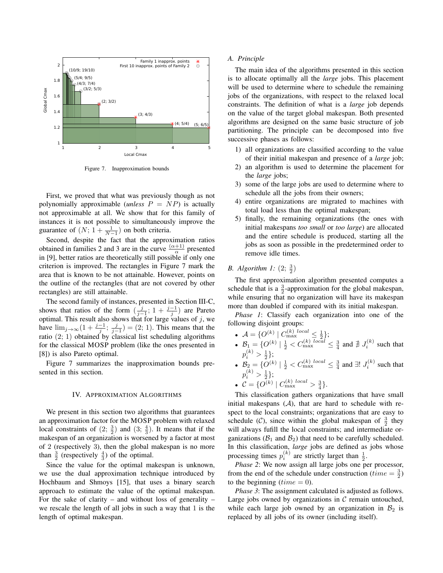

Figure 7. Inapproximation bounds

First, we proved that what was previously though as not polynomially approximable (*unless*  $P = NP$ ) is actually not approximable at all. We show that for this family of instances it is not possible to simultaneously improve the guarantee of  $(N; 1 + \frac{1}{N-1})$  on both criteria.

Second, despite the fact that the approximation ratios obtained in families 2 and 3 are in the curve  $\frac{(\alpha+1)}{\alpha}$  presented in [9], better ratios are theoretically still possible if only one criterion is improved. The rectangles in Figure 7 mark the area that is known to be not attainable. However, points on the outline of the rectangles (that are not covered by other rectangles) are still attainable.

The second family of instances, presented in Section III-C, shows that ratios of the form  $(\frac{j}{j-1}; 1 + \frac{j-1}{j})$  are Pareto optimal. This result also shows that for large values of  $j$ , we have  $\lim_{j\to\infty} (1 + \frac{j-1}{j}; \frac{j}{j-1}) = (2; 1)$ . This means that the ratio  $(2; 1)$  obtained by classical list scheduling algorithms for the classical MOSP problem (like the ones presented in [8]) is also Pareto optimal.

Figure 7 summarizes the inapproximation bounds presented in this section.

#### IV. APPROXIMATION ALGORITHMS

We present in this section two algorithms that guarantees an approximation factor for the MOSP problem with relaxed local constraints of  $(2; \frac{3}{2})$  and  $(3; \frac{4}{3})$ . It means that if the makespan of an organization is worsened by a factor at most of 2 (respectively 3), then the global makespan is no more than  $\frac{3}{2}$  (respectively  $\frac{4}{3}$ ) of the optimal.

Since the value for the optimal makespan is unknown, we use the dual approximation technique introduced by Hochbaum and Shmoys [15], that uses a binary search approach to estimate the value of the optimal makespan. For the sake of clarity – and without loss of generality – we rescale the length of all jobs in such a way that 1 is the length of optimal makespan.

## *A. Principle*

The main idea of the algorithms presented in this section is to allocate optimally all the *large* jobs. This placement will be used to determine where to schedule the remaining jobs of the organizations, with respect to the relaxed local constraints. The definition of what is a *large* job depends on the value of the target global makespan. Both presented algorithms are designed on the same basic structure of job partitioning. The principle can be decomposed into five successive phases as follows:

- 1) all organizations are classified according to the value of their initial makespan and presence of a *large* job;
- 2) an algorithm is used to determine the placement for the *large* jobs;
- 3) some of the large jobs are used to determine where to schedule all the jobs from their owners;
- 4) entire organizations are migrated to machines with total load less than the optimal makespan;
- 5) finally, the remaining organizations (the ones with initial makespans *too small* or *too large*) are allocated and the entire schedule is produced, starting all the jobs as soon as possible in the predetermined order to remove idle times.

# *B. Algorithm 1:*  $(2, \frac{3}{2})$

The first approximation algorithm presented computes a schedule that is a  $\frac{3}{2}$ -approximation for the global makespan, while ensuring that no organization will have its makespan more than doubled if compared with its initial makespan.

*Phase 1*: Classify each organization into one of the following disjoint groups:

- $\mathcal{A} = \{O^{(k)} | C_{\text{max}}^{(k)} \log \frac{1}{2} \}$ ;
- $B_1 = \{O^{(k)} | \frac{1}{2} < C_{\text{max}}^{(k)} \text{ local} \leq \frac{3}{4} \text{ and } \frac{1}{2} J_i^{(k)} \text{ such that} \}$  $p_i^{(\kappa)} > \frac{1}{2}\};$  $\binom{k}{1}$
- $B_2 = \{O^{(k)} | \frac{1}{2} < C_{\text{max}}^{(k)} \}$  local  $\leq \frac{3}{4}$  and  $\exists! J_i^{(k)}$  such that  $p_i^{(k)} > \frac{1}{2}$ ;
- $C = \{O^{(k)} | C_{\text{max}}^{(k)} | \log \frac{3}{4}\}.$

This classification gathers organizations that have small initial makespans  $(A)$ , that are hard to schedule with respect to the local constraints; organizations that are easy to schedule (C), since within the global makespan of  $\frac{3}{2}$  they will always fufill the local constraints; and intermediate organizations ( $\mathcal{B}_1$  and  $\mathcal{B}_2$ ) that need to be carefully scheduled. In this classification, *large* jobs are defined as jobs whose processing times  $p_i^{(k)}$  are strictly larget than  $\frac{1}{2}$ .

*Phase 2*: We now assign all large jobs one per processor, from the end of the schedule under construction  $(time = \frac{3}{2})$ to the beginning  $(time = 0)$ .

*Phase 3*: The assignment calculated is adjusted as follows. Large jobs owned by organizations in  $C$  remain untouched, while each large job owned by an organization in  $B_2$  is replaced by all jobs of its owner (including itself).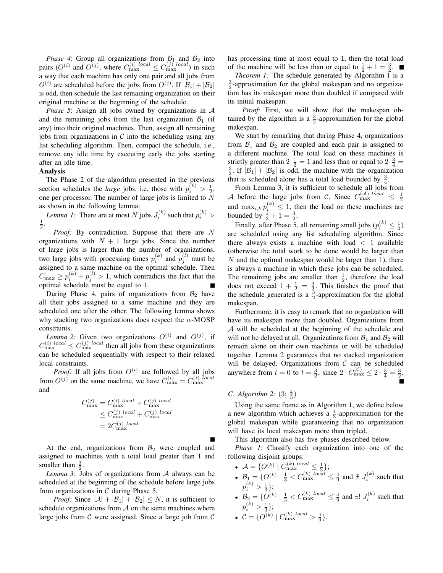*Phase 4*: Group all organizations from  $B_1$  and  $B_2$  into pairs  $(O^{(i)}$  and  $O^{(j)}$ , where  $C_{\text{max}}^{(i) \text{ local}} \leq C_{\text{max}}^{(j) \text{ local}})$  in such a way that each machine has only one pair and all jobs from  $O^{(i)}$  are scheduled before the jobs from  $O^{(j)}$ . If  $|\mathcal{B}_1| + |\mathcal{B}_2|$ is odd, then schedule the last remaining organization on their original machine at the beginning of the schedule.

*Phase 5*: Assign all jobs owned by organizations in A and the remaining jobs from the last organization  $B_1$  (if any) into their original machines. Then, assign all remaining jobs from organizations in  $\mathcal C$  into the scheduling using any list scheduling algorithm. Then, compact the schedule, i.e., remove any idle time by executing early the jobs starting after an idle time.

# Analysis

The Phase 2 of the algorithm presented in the previous section schedules the *large* jobs, i.e. those with  $p_i^{(k)} > \frac{1}{2}$ , one per processor. The number of large jobs is limited to  $\bar{N}$ as shown in the following lemma:

*Lemma 1:* There are at most N jobs  $J_i^{(k)}$  such that  $p_i^{(k)}$  >  $\frac{1}{2}$ .

*Proof:* By contradiction. Suppose that there are N organizations with  $N + 1$  large jobs. Since the number of large jobs is larger than the number of organizations, two large jobs with processing times  $p_i^{(k)}$  and  $p_j^{(l)}$  must be assigned to a same machine on the optimal schedule. Then  $C_{\text{max}} \ge p_i^{(k)} + p_j^{(l)} > 1$ , which contradicts the fact that the optimal schedule must be equal to 1.

During Phase 4, pairs of organizations from  $B_2$  have all their jobs assigned to a same machine and they are scheduled one after the other. The following lemma shows why stacking two organizations does respect the  $\alpha$ -MOSP constraints.

*Lemma 2:* Given two organizations  $O^{(i)}$  and  $O^{(j)}$ , if  $C_{\text{max}}^{(i) \ local} \leq C_{\text{max}}^{(j) \ local}$  then all jobs from these organizations can be scheduled sequentially with respect to their relaxed local constraints.

*Proof:* If all jobs from  $O^{(i)}$  are followed by all jobs from  $O^{(j)}$  on the same machine, we have  $C_{\text{max}}^{(i)} = C_{\text{max}}^{(i) \text{ local}}$ and

$$
C_{\text{max}}^{(j)} = C_{\text{max}}^{(i) \ local} + C_{\text{max}}^{(j) \ local}
$$
  
\n
$$
\leq C_{\text{max}}^{(j) \ local} + C_{\text{max}}^{(j) \ local}
$$
  
\n
$$
= 2C_{\text{max}}^{(j) \ local}
$$

At the end, organizations from  $\mathcal{B}_2$  were coupled and assigned to machines with a total load greater than 1 and smaller than  $\frac{3}{2}$ .

*Lemma 3:* Jobs of organizations from A always can be scheduled at the beginning of the schedule before large jobs from organizations in  $C$  during Phase 5.

*Proof:* Since  $|\mathcal{A}| + |\mathcal{B}_1| + |\mathcal{B}_2| \leq N$ , it is sufficient to schedule organizations from  $A$  on the same machines where large jobs from  $C$  were assigned. Since a large job from  $C$  has processing time at most equal to 1, then the total load of the machine will be less than or equal to  $\frac{1}{2} + 1 = \frac{3}{2}$ .

*Theorem 1:* The schedule generated by Algorithm 1 is a  $\frac{3}{2}$ -approximation for the global makespan and no organization has its makespan more than doubled if compared with its initial makespan.

*Proof:* First, we will show that the makespan obtained by the algorithm is a  $\frac{3}{2}$ -approximation for the global makespan.

We start by remarking that during Phase 4, organizations from  $\mathcal{B}_1$  and  $\mathcal{B}_2$  are coupled and each pair is assigned to a different machine. The total load on these machines is strictly greater than  $2 \cdot \frac{1}{2} = 1$  and less than or equal to  $2 \cdot \frac{3}{4} =$  $\frac{3}{2}$ . If  $|\mathcal{B}_1| + |\mathcal{B}_2|$  is odd, the machine with the organization that is scheduled alone has a total load bounded by  $\frac{3}{4}$ .

From Lemma 3, it is sufficient to schedule all jobs from A before the large jobs from C. Since  $C_{\text{max}}^{(\mathcal{A})\text{ local}} \leq$  $\frac{1}{2}$ and  $\max_{i,k} p_i^{(k)} \leq 1$ , then the load on these machines are bounded by  $\frac{1}{2} + 1 = \frac{3}{2}$ .

Finally, after Phase 5, all remaining small jobs  $(p_i^{(k)} \leq \frac{1}{2})$ are scheduled using any list scheduling algorithm. Since there always exists a machine with load  $<$  1 available (otherwise the total work to be done would be larger than  $N$  and the optimal makespan would be larger than 1), there is always a machine in which these jobs can be scheduled. The remaining jobs are smaller than  $\frac{1}{2}$ , therefore the load does not exceed  $1 + \frac{1}{2} = \frac{3}{2}$ . This finishes the proof that the schedule generated is a  $\frac{3}{2}$ -approximation for the global makespan.

Furthermore, it is easy to remark that no organization will have its makespan more than doubled. Organizations from A will be scheduled at the beginning of the schedule and will not be delayed at all. Organizations from  $B_1$  and  $B_2$  will remain alone on their own machines or will be scheduled together. Lemma 2 guarantees that no stacked organization will be delayed. Organizations from  $C$  can be scheduled anywhere from  $t = 0$  to  $t = \frac{3}{2}$ , since  $2 \cdot C_{\text{max}}^{(\mathcal{C})} \leq 2 \cdot \frac{3}{4} = \frac{3}{2}$ .

# *C. Algorithm* 2:  $(3; \frac{4}{3})$

Using the same frame as in Algorithm 1, we define below a new algorithm which achieves a  $\frac{4}{3}$ -approximation for the global makespan while guaranteeing that no organization will have its local makespan more than tripled.

This algorithm also has five phases described below.

*Phase 1*: Classify each organization into one of the following disjoint groups:

- $\mathcal{A} = \{ O^{(k)} \mid C_{\text{max}}^{(k)} \stackrel{local}{\leq} \frac{1}{3} \};$
- $B_1 = \{O^{(k)} | \frac{1}{3} < C_{\text{max}}^{(k)} \frac{\log d}{\log d} \leq \frac{4}{9} \text{ and } \frac{1}{4} J_i^{(k)} \text{ such that}$  $p_i^{(k)} > \frac{1}{3}$ ;
- $B_2 = \{O^{(k)} | \frac{1}{3} < C_{\text{max}}^{(k)} \leq \frac{4}{9} \text{ and } \exists! J_i^{(k)} \text{ such that }$  $p_i^{(k)} > \frac{1}{3}$ ;
- $\mathcal{C} = \{O^{(k)} | C_{\text{max}}^{(k)} \}$   $\frac{1}{9}$ .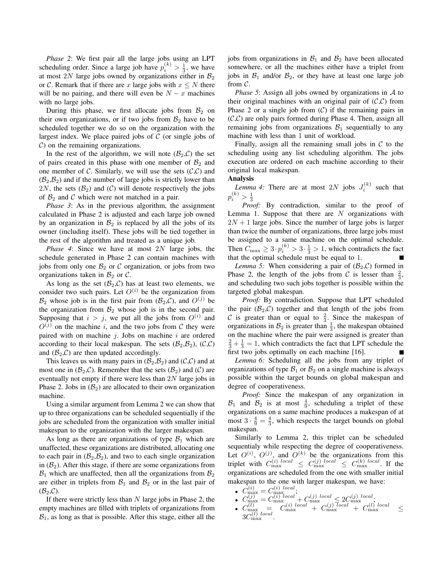*Phase 2*: We first pair all the large jobs using an LPT scheduling order. Since a large job have  $p_i^{(k)} > \frac{1}{3}$ , we have at most 2N large jobs owned by organizations either in  $B_2$ or C. Remark that if there are x large jobs with  $x \leq N$  there will be no pairing, and there will even be  $N - x$  machines with no large jobs.

During this phase, we first allocate jobs from  $B_2$  on their own organizations, or if two jobs from  $B_2$  have to be scheduled together we do so on the organization with the largest index. We place paired jobs of  $C$  (or single jobs of  $\mathcal{C}$ ) on the remaining organizations.

In the rest of the algorithm, we will note  $(\mathcal{B}_2,\mathcal{C})$  the set of pairs created in this phase with one member of  $B_2$  and one member of C. Similarly, we will use the sets  $(C, C)$  and  $(\mathcal{B}_2,\mathcal{B}_2)$  and if the number of large jobs is strictly lower than 2N, the sets  $(\mathcal{B}_2)$  and  $(\mathcal{C})$  will denote respectively the jobs of  $\mathcal{B}_2$  and C which were not matched in a pair.

*Phase 3*: As in the previous algorithm, the assignment calculated in Phase 2 is adjusted and each large job owned by an organization in  $\mathcal{B}_2$  is replaced by all the jobs of its owner (including itself). These jobs will be tied together in the rest of the algorithm and treated as a unique job.

*Phase 4*: Since we have at most 2N large jobs, the schedule generated in Phase 2 can contain machines with jobs from only one  $\mathcal{B}_2$  or  $\mathcal C$  organization, or jobs from two organizations taken in  $\mathcal{B}_2$  or  $\mathcal{C}$ .

As long as the set  $(\mathcal{B}_2, \mathcal{C})$  has at least two elements, we consider two such pairs. Let  $O^{(i)}$  be the organization from  $\mathcal{B}_2$  whose job is in the first pair from  $(\mathcal{B}_2, \mathcal{C})$ , and  $O^{(j)}$  be the organization from  $B_2$  whose job is in the second pair. Supposing that  $i > j$ , we put all the jobs from  $O^{(i)}$  and  $O^{(j)}$  on the machine i, and the two jobs from C they were paired with on machine  $j$ . Jobs on machine  $i$  are ordered according to their local makespan. The sets  $(\mathcal{B}_2,\mathcal{B}_2)$ ,  $(\mathcal{C},\mathcal{C})$ and  $(\mathcal{B}_2,\mathcal{C})$  are then updated accordingly.

This leaves us with many pairs in  $(\mathcal{B}_2,\mathcal{B}_2)$  and  $(\mathcal{C},\mathcal{C})$  and at most one in  $(\mathcal{B}_2, \mathcal{C})$ . Remember that the sets  $(\mathcal{B}_2)$  and  $(\mathcal{C})$  are eventually not empty if there were less than 2N large jobs in Phase 2. Jobs in  $(\mathcal{B}_2)$  are allocated to their own organization machine.

Using a similar argument from Lemma 2 we can show that up to three organizations can be scheduled sequentially if the jobs are scheduled from the organization with smaller initial makespan to the organization with the larger makespan.

As long as there are organizations of type  $\mathcal{B}_1$  which are unaffected, these organizations are distributed, allocating one to each pair in  $(\mathcal{B}_2,\mathcal{B}_2)$ , and two to each single organization in  $(\mathcal{B}_2)$ . After this stage, if there are some organizations from  $B_1$  which are unaffected, then all the organizations from  $B_2$ are either in triplets from  $B_1$  and  $B_2$  or in the last pair of  $(\mathcal{B}_2,\mathcal{C})$ .

If there were strictly less than  $N$  large jobs in Phase 2, the empty machines are filled with triplets of organizations from  $B_1$ , as long as that is possible. After this stage, either all the jobs from organizations in  $B_1$  and  $B_2$  have been allocated somewhere, or all the machines either have a triplet from jobs in  $B_1$  and/or  $B_2$ , or they have at least one large job from C.

*Phase 5*: Assign all jobs owned by organizations in A to their original machines with an original pair of  $(C, C)$  from Phase 2 or a single job from  $(C)$  if the remaining pairs in  $(C, C)$  are only pairs formed during Phase 4. Then, assign all remaining jobs from organizations  $B_1$  sequentially to any machine with less than 1 unit of workload.

Finally, assign all the remaining small jobs in  $\mathcal C$  to the scheduling using any list scheduling algorithm. The jobs execution are ordered on each machine according to their original local makespan.

#### Analysis

*Lemma 4:* There are at most 2N jobs  $J_i^{(k)}$  such that  $p_i^{(k)} > \frac{1}{3}$ 

*Proof:* By contradiction, similar to the proof of Lemma 1. Suppose that there are  $N$  organizations with  $2N + 1$  large jobs. Since the number of large jobs is larger than twice the number of organizations, three large jobs must be assigned to a same machine on the optimal schedule. Then  $C_{\text{max}} \ge 3 \cdot p_i^{(k)} > 3 \cdot \frac{1}{3} > 1$ , which contradicts the fact that the optimal schedule must be equal to 1.

*Lemma 5:* When considering a pair of  $(\mathcal{B}_2, \mathcal{C})$  formed in Phase 2, the length of the jobs from C is lesser than  $\frac{2}{3}$ , and scheduling two such jobs together is possible within the targeted global makespan.

*Proof:* By contradiction. Suppose that LPT scheduled the pair  $(\mathcal{B}_2, \mathcal{C})$  together and that length of the jobs from C is greater than or equal to  $\frac{2}{3}$ . Since the makespan of organizations in  $B_2$  is greater than  $\frac{1}{3}$ , the makespan obtained on the machine where the pair were assigned is greater than  $\frac{2}{3} + \frac{1}{3} = 1$ , which contradicts the fact that LPT schedule the first two jobs optimally on each machine [16].

*Lemma 6:* Scheduling all the jobs from any triplet of organizations of type  $\mathcal{B}_1$  or  $\mathcal{B}_2$  on a single machine is always possible within the target bounds on global makespan and degree of cooperativeness.

*Proof:* Since the makespan of any organization in  $B_1$  and  $B_2$  is at most  $\frac{4}{9}$ , scheduling a triplet of these organizations on a same machine produces a makespan of at most  $3 \cdot \frac{4}{9} = \frac{4}{3}$ , which respects the target bounds on global makespan.

Similarly to Lemma 2, this triplet can be scheduled sequentialy while respecting the degree of cooperativeness. Let  $O^{(i)}$ ,  $O^{(j)}$ , and  $O^{(k)}$  be the organizations from this triplet with  $C_{\text{max}}^{(i)~local} \le C_{\text{max}}^{(j)~local} \le C_{\text{max}}^{(k)~local}$ . If the organizations are scheduled from the one with smaller initial makespan to the one with larger makespan, we have:

- $C_{\text{max}}^{(i)} = C_{\text{max}}^{(i) \ local$ ;
- $C_{\text{max}}^{(j)} = C_{\text{max}}^{(i) local} + C_{\text{max}}^{(j) local} \leq 2 C_{\text{max}}^{(j) local}$
- $\bullet$   $C_{\rm max}^{(l)}$  =  $C_{\rm max}^{(i)~local}~+~C_{\rm max}^{(j)~local}~+~C_{\rm max}^{(l)~local}~~\leq~$  $3C_{\rm max}^{(l)\ local}.$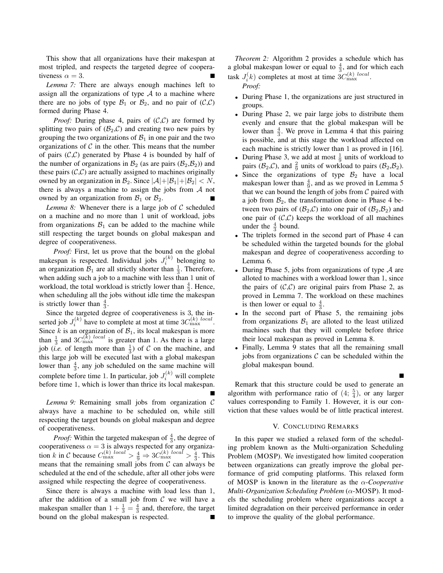This show that all organizations have their makespan at most tripled, and respects the targeted degree of cooperativeness  $\alpha = 3$ .

*Lemma 7:* There are always enough machines left to assign all the organizations of type  $A$  to a machine where there are no jobs of type  $\mathcal{B}_1$  or  $\mathcal{B}_2$ , and no pair of  $(\mathcal{C}, \mathcal{C})$ formed during Phase 4.

*Proof:* During phase 4, pairs of  $(C, C)$  are formed by splitting two pairs of  $(\mathcal{B}_2, \mathcal{C})$  and creating two new pairs by grouping the two organizations of  $B_1$  in one pair and the two organizations of  $C$  in the other. This means that the number of pairs  $(C, C)$  generated by Phase 4 is bounded by half of the number of organizations in  $\mathcal{B}_2$  (as are pairs  $(\mathcal{B}_2,\mathcal{B}_2)$ ) and these pairs  $(C, C)$  are actually assigned to machines originally owned by an organization in  $\mathcal{B}_2$ . Since  $|\mathcal{A}|+|\mathcal{B}_1|+|\mathcal{B}_2| < N$ , there is always a machine to assign the jobs from  $A$  not owned by an organization from  $\mathcal{B}_1$  or  $\mathcal{B}_2$ .

*Lemma 8:* Whenever there is a large job of  $C$  scheduled on a machine and no more than 1 unit of workload, jobs from organizations  $B_1$  can be added to the machine while still respecting the target bounds on global makespan and degree of cooperativeness.

*Proof:* First, let us prove that the bound on the global makespan is respected. Individual jobs  $J_i^{(k)}$  belonging to an organization  $B_1$  are all strictly shorter than  $\frac{1}{3}$ . Therefore, when adding such a job to a machine with less than 1 unit of workload, the total workload is strictly lower than  $\frac{4}{3}$ . Hence, when scheduling all the jobs without idle time the makespan is strictly lower than  $\frac{4}{3}$ .

Since the targeted degree of cooperativeness is 3, the inserted job  $J_i^{(k)}$  have to complete at most at time  $3C_{\text{max}}^{(k)}$  local. Since  $k$  is an organization of  $B_1$ , its local makespan is more than  $\frac{1}{3}$  and  $3C_{\text{max}}^{(k)}$  local is greater than 1. As there is a large job (*i.e.* of length more than  $\frac{1}{3}$ ) of C on the machine, and this large job will be executed last with a global makespan lower than  $\frac{4}{3}$ , any job scheduled on the same machine will 3 complete before time 1. In particular, job  $J_i^{(k)}$  will complete before time 1, which is lower than thrice its local makespan.

*Lemma 9:* Remaining small jobs from organization C always have a machine to be scheduled on, while still respecting the target bounds on global makespan and degree of cooperativeness.

*Proof:* Within the targeted makespan of  $\frac{4}{3}$ , the degree of cooperativeness  $\alpha = 3$  is always respected for any organization k in C because  $C_{\text{max}}^{(k)}$   $\log l > \frac{4}{9} \Rightarrow 3C_{\text{max}}^{(k)}$   $\log l > \frac{4}{3}$ . This means that the remaining small jobs from  $C$  can always be scheduled at the end of the schedule, after all other jobs were assigned while respecting the degree of cooperativeness.

Since there is always a machine with load less than 1, after the addition of a small job from  $C$  we will have a makespan smaller than  $1 + \frac{1}{3} = \frac{4}{3}$  and, therefore, the target bound on the global makespan is respected.

*Theorem 2:* Algorithm 2 provides a schedule which has a global makespan lower or equal to  $\frac{4}{3}$ , and for which each 3 task  $J_i^{(k)}$  completes at most at time  $3C_{\text{max}}^{(k)}$  local.

*Proof:*

- During Phase 1, the organizations are just structured in groups.
- During Phase 2, we pair large jobs to distribute them evenly and ensure that the global makespan will be lower than  $\frac{4}{3}$ . We prove in Lemma 4 that this pairing is possible, and at this stage the workload affected on each machine is strictly lower than 1 as proved in [16].
- During Phase 3, we add at most  $\frac{1}{9}$  units of workload to pairs ( $\mathcal{B}_2$ , $\mathcal{C}$ ), and  $\frac{2}{9}$  units of workload to pairs ( $\mathcal{B}_2$ , $\mathcal{B}_2$ ).
- Since the organizations of type  $\mathcal{B}_2$  have a local makespan lower than  $\frac{4}{9}$ , and as we proved in Lemma 5 that we can bound the length of jobs from  $\mathcal C$  paired with a job from  $\mathcal{B}_2$ , the transformation done in Phase 4 between two pairs of  $(\mathcal{B}_2,\mathcal{C})$  into one pair of  $(\mathcal{B}_2,\mathcal{B}_2)$  and one pair of  $(C, C)$  keeps the workload of all machines under the  $\frac{4}{3}$  bound.
- The triplets formed in the second part of Phase 4 can be scheduled within the targeted bounds for the global makespan and degree of cooperativeness according to Lemma 6.
- During Phase 5, jobs from organizations of type  $A$  are alloted to machines with a workload lower than 1, since the pairs of  $(C, C)$  are original pairs from Phase 2, as proved in Lemma 7. The workload on these machines is then lower or equal to  $\frac{4}{3}$ .
- In the second part of Phase 5, the remaining jobs from organizations  $B_1$  are alloted to the least utilized machines such that they will complete before thrice their local makespan as proved in Lemma 8.
- Finally, Lemma 9 states that all the remaining small jobs from organizations  $\mathcal C$  can be scheduled within the global makespan bound.

Remark that this structure could be used to generate an algorithm with performance ratio of  $(4; \frac{5}{4})$ , or any larger values corresponding to Family 1. However, it is our conviction that these values would be of little practical interest.

## V. CONCLUDING REMARKS

In this paper we studied a relaxed form of the scheduling problem known as the Multi-organization Scheduling Problem (MOSP). We investigated how limited cooperation between organizations can greatly improve the global performance of grid computing platforms. This relaxed form of MOSP is known in the literature as the α-*Cooperative Multi-Organization Scheduling Problem* (α-MOSP). It models the scheduling problem where organizations accept a limited degradation on their perceived performance in order to improve the quality of the global performance.